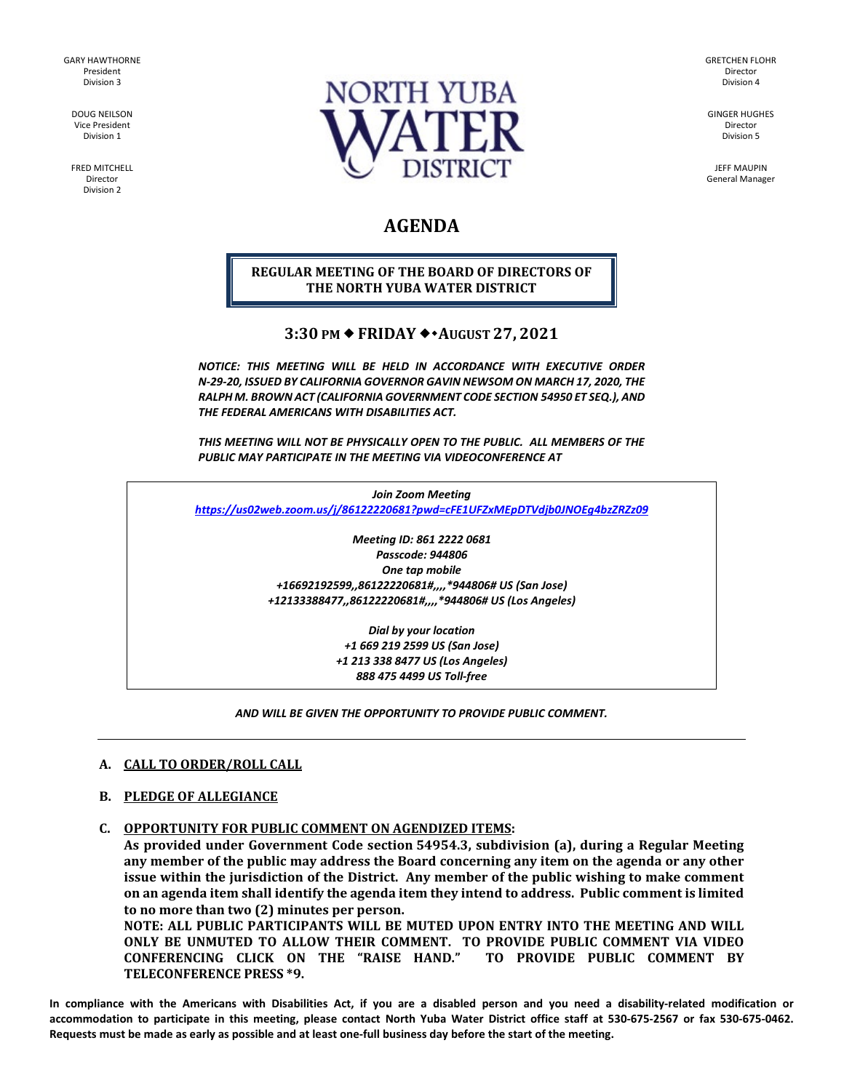GARY HAWTHORNE President Division 3

> DOUG NEILSON Vice President Division 1

FRED MITCHELL Director Division 2



GRETCHEN FLOHR Director Division 4

GINGER HUGHES Director Division 5

JEFF MAUPIN General Manager

# **AGENDA**

# **REGULAR MEETING OF THE BOARD OF DIRECTORS OF THE NORTH YUBA WATER DISTRICT**

# **3:30 PM FRIDAY AUGUST 27, 2021**

*NOTICE: THIS MEETING WILL BE HELD IN ACCORDANCE WITH EXECUTIVE ORDER N-29-20, ISSUED BY CALIFORNIA GOVERNOR GAVIN NEWSOM ON MARCH 17, 2020, THE RALPH M. BROWN ACT (CALIFORNIA GOVERNMENT CODE SECTION 54950 ET SEQ.), AND THE FEDERAL AMERICANS WITH DISABILITIES ACT.*

*THIS MEETING WILL NOT BE PHYSICALLY OPEN TO THE PUBLIC. ALL MEMBERS OF THE PUBLIC MAY PARTICIPATE IN THE MEETING VIA VIDEOCONFERENCE AT* 

*Join Zoom Meeting <https://us02web.zoom.us/j/86122220681?pwd=cFE1UFZxMEpDTVdjb0JNOEg4bzZRZz09>*

> *Meeting ID: 861 2222 0681 Passcode: 944806 One tap mobile +16692192599,,86122220681#,,,,\*944806# US (San Jose) +12133388477,,86122220681#,,,,\*944806# US (Los Angeles)*

> > *Dial by your location +1 669 219 2599 US (San Jose) +1 213 338 8477 US (Los Angeles) 888 475 4499 US Toll-free*

#### *AND WILL BE GIVEN THE OPPORTUNITY TO PROVIDE PUBLIC COMMENT.*

#### **A. CALL TO ORDER/ROLL CALL**

### **B. PLEDGE OF ALLEGIANCE**

**C. OPPORTUNITY FOR PUBLIC COMMENT ON AGENDIZED ITEMS:**

**As provided under Government Code section 54954.3, subdivision (a), during a Regular Meeting any member of the public may address the Board concerning any item on the agenda or any other issue within the jurisdiction of the District. Any member of the public wishing to make comment on an agenda item shall identify the agenda item they intend to address. Public comment is limited to no more than two (2) minutes per person.**

**NOTE: ALL PUBLIC PARTICIPANTS WILL BE MUTED UPON ENTRY INTO THE MEETING AND WILL ONLY BE UNMUTED TO ALLOW THEIR COMMENT. TO PROVIDE PUBLIC COMMENT VIA VIDEO CONFERENCING CLICK ON THE "RAISE HAND." TO PROVIDE PUBLIC COMMENT BY TELECONFERENCE PRESS \*9.**

**In compliance with the Americans with Disabilities Act, if you are a disabled person and you need a disability-related modification or accommodation to participate in this meeting, please contact North Yuba Water District office staff at 530-675-2567 or fax 530-675-0462. Requests must be made as early as possible and at least one-full business day before the start of the meeting.**